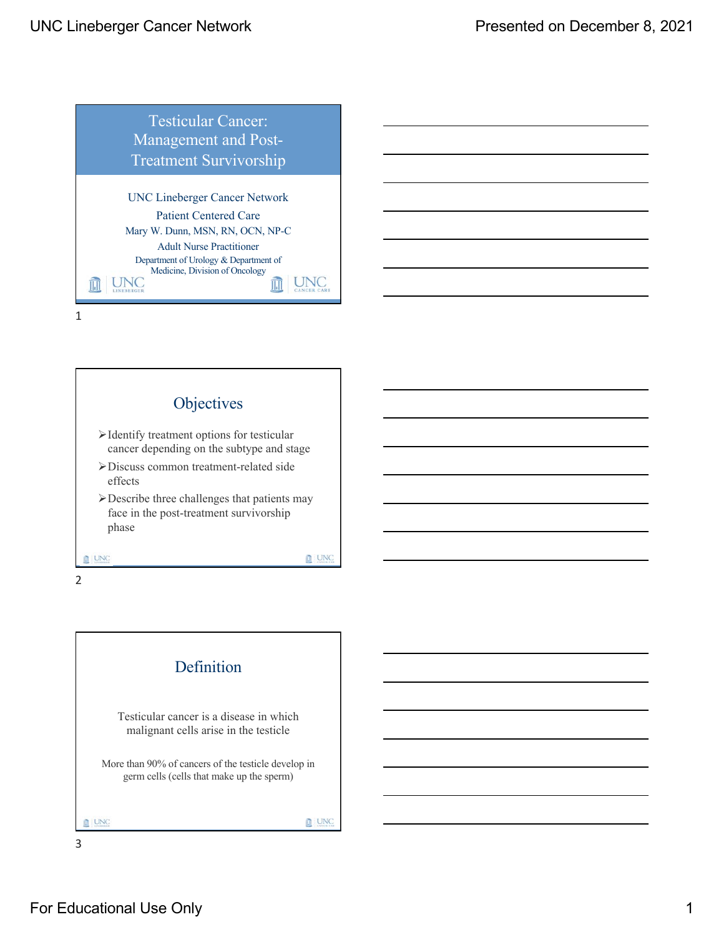



2

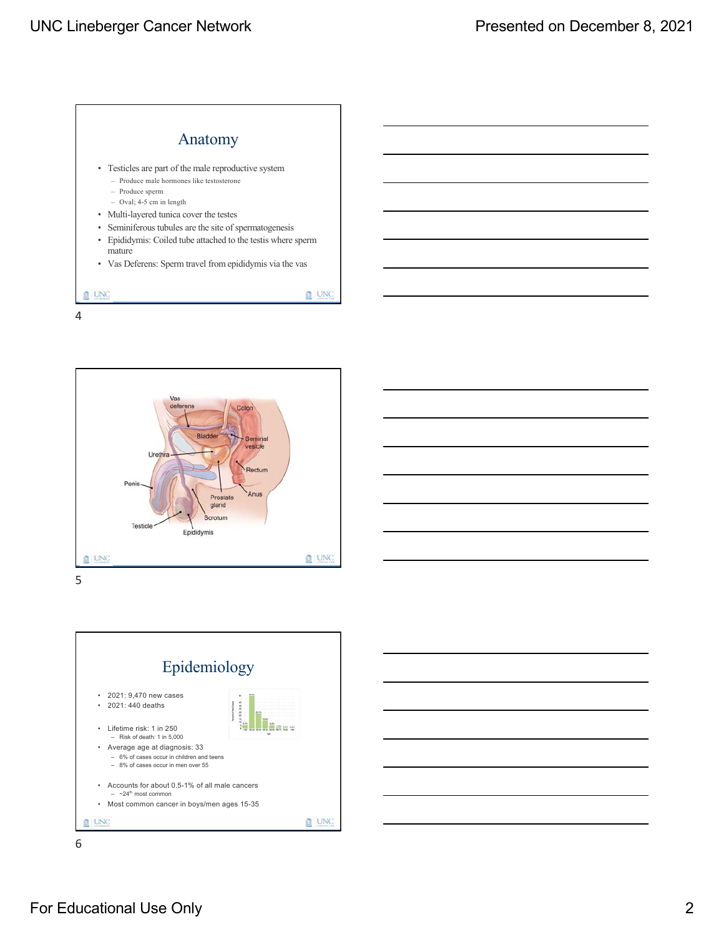





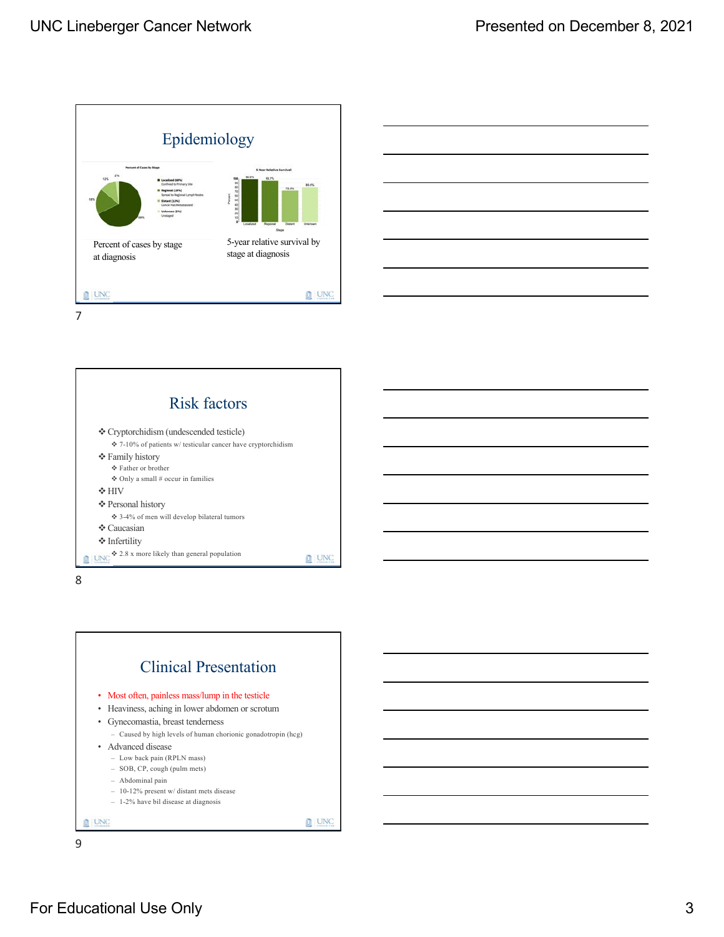



Risk factors v Cryptorchidism (undescended testicle)  $\div$  7-10% of patients w/ testicular cancer have cryptorchidism v Family history v Father or brother v Only a small # occur in families  $\div$  HIV v Personal history v 3-4% of men will develop bilateral tumors ◆ Caucasian v Infertility  $\bigcirc$  2.8 x more likely than general population **D** UNC 8



For Educational Use Only 3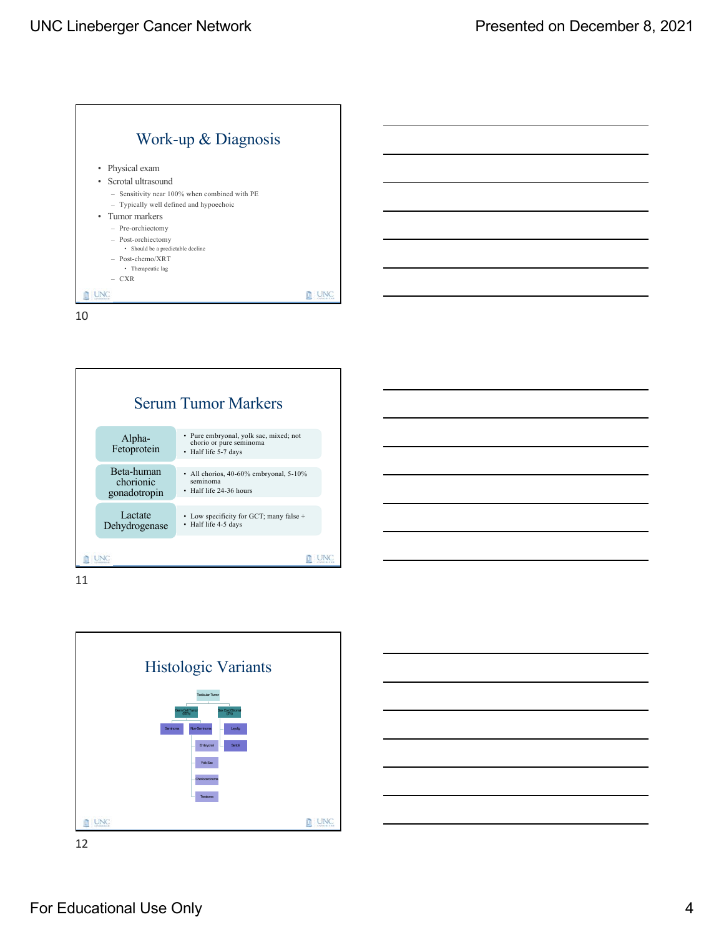



11

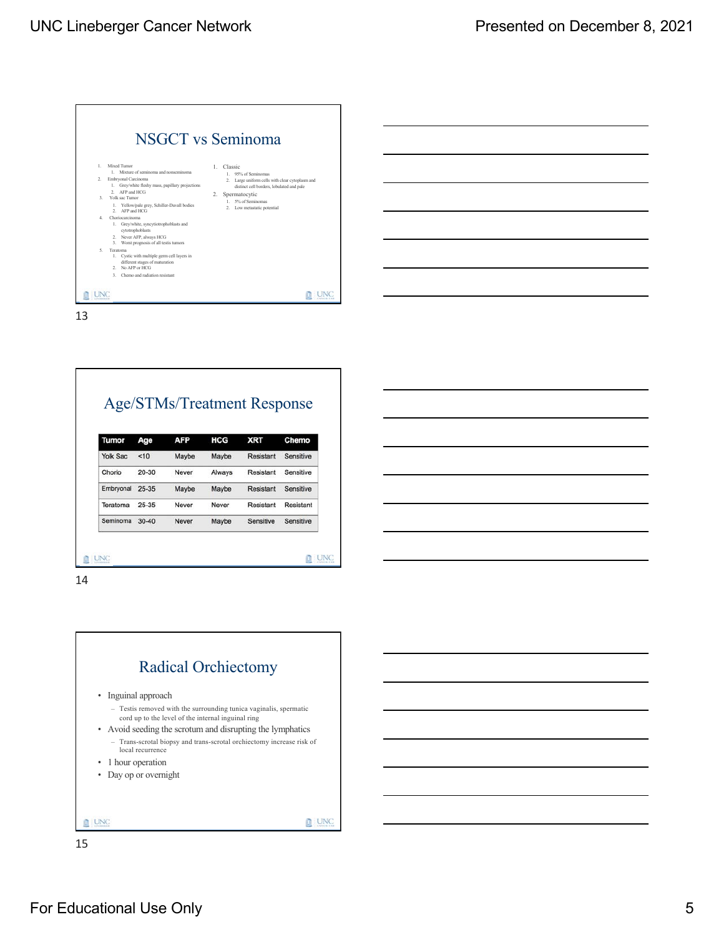|                | <b>NSGCT</b> vs Seminoma                                                                                                                  |                                                                                                 |
|----------------|-------------------------------------------------------------------------------------------------------------------------------------------|-------------------------------------------------------------------------------------------------|
| $\mathbf{1}$   | Mixed Tumor<br>1. Mixture of seminoma and nonseminoma                                                                                     | Classic<br>$\mathbf{L}$<br>1. 95% of Seminomas                                                  |
| $\mathcal{L}$  | Embryonal Carcinoma<br>Grey/white fleshy mass, papillary projections<br>1.<br>2. AFP and HCG                                              | Large uniform cells with clear cytoplasm and<br>2.<br>distinct cell borders, lobulated and pale |
| $\mathbf{R}$   | Yolk sac Tumor                                                                                                                            | 2. Spermatocytic                                                                                |
|                | 1. Yellow/pale grey, Schiller-Duvall bodies<br>2. AFP and HCG                                                                             | 5% of Seminomas<br>1.<br>Low metastatic potential<br>2                                          |
| 4              | Choriocarcinoma<br>1. Grey/white, syncytiotrophoblasts and<br>cytotrophoblasts                                                            |                                                                                                 |
|                | 2. Never AFP, always HCG                                                                                                                  |                                                                                                 |
|                | Worst prognosis of all testis tumors<br>3.                                                                                                |                                                                                                 |
| 5 <sup>1</sup> | Teratoma<br>1. Cystic with multiple germ cell layers in<br>different stages of maturation<br>No AFP or HCG<br>$\mathcal{D}_{\mathcal{A}}$ |                                                                                                 |
|                | Chemo and radiation resistant<br>$\ddot{ }$                                                                                               |                                                                                                 |
|                |                                                                                                                                           |                                                                                                 |

| <b>Age/STMs/Treatment Response</b> |  |
|------------------------------------|--|
|------------------------------------|--|

| Tumor           | Age       | <b>AFP</b> | <b>HCG</b> | <b>XRT</b> | Chemo     |
|-----------------|-----------|------------|------------|------------|-----------|
| <b>Yolk Sac</b> | < 10      | Maybe      | Maybe      | Resistant  | Sensitive |
| Chorio          | $20 - 30$ | Never      | Always     | Resistant  | Sensitive |
| Embryonal       | $25 - 35$ | Maybe      | Maybe      | Resistant  | Sensitive |
| Teratoma        | $25 - 35$ | Never      | Never      | Resistant  | Resistant |
| Seminoma        | $30 - 40$ | Never      | Maybe      | Sensitive  | Sensitive |

ū 14



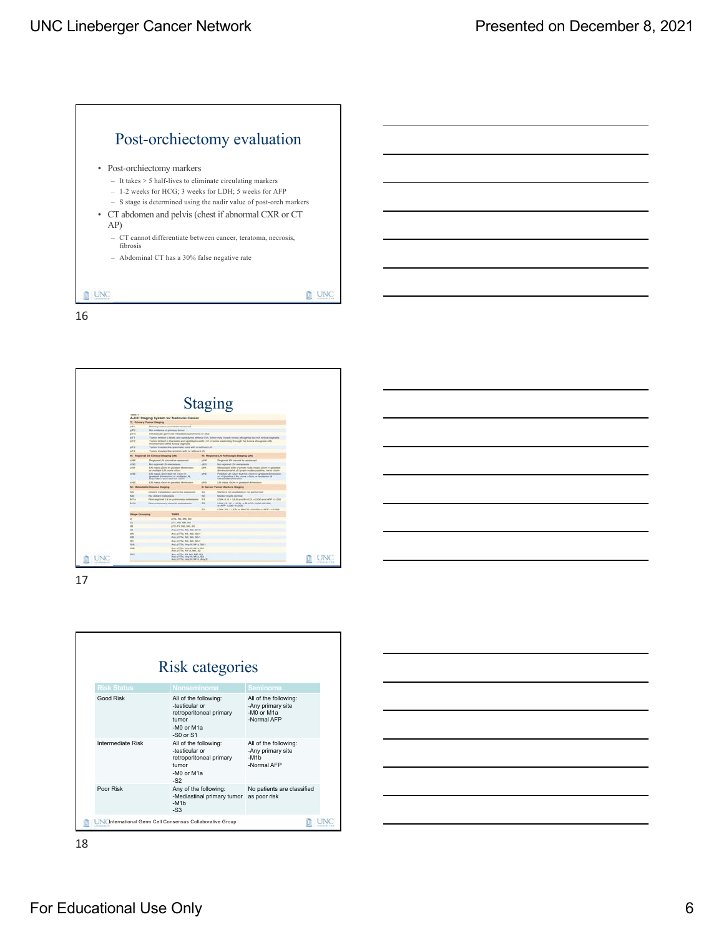



17

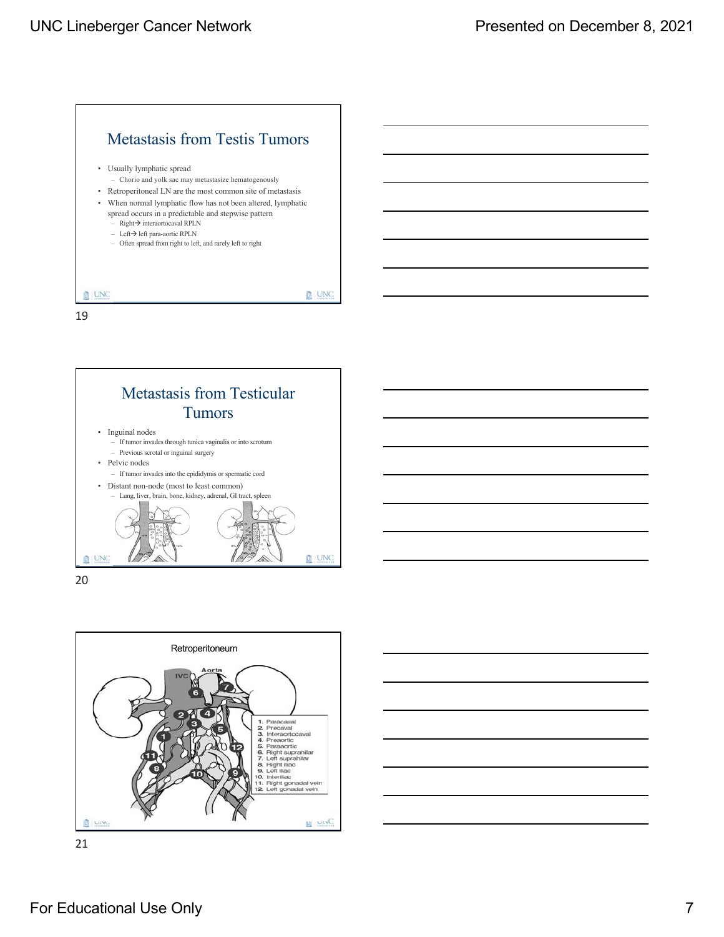



20



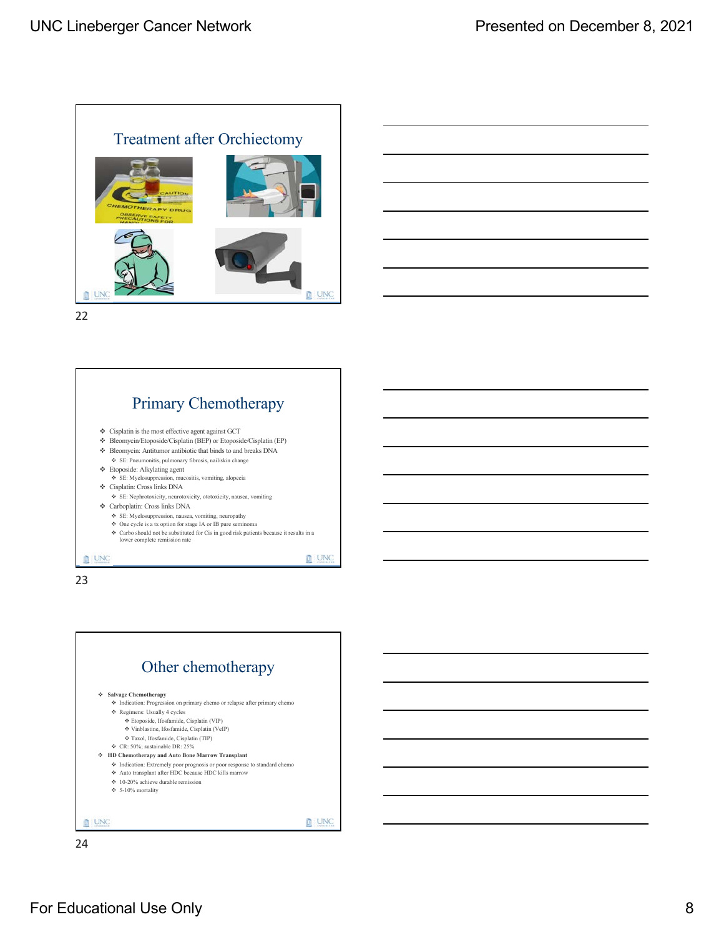





23



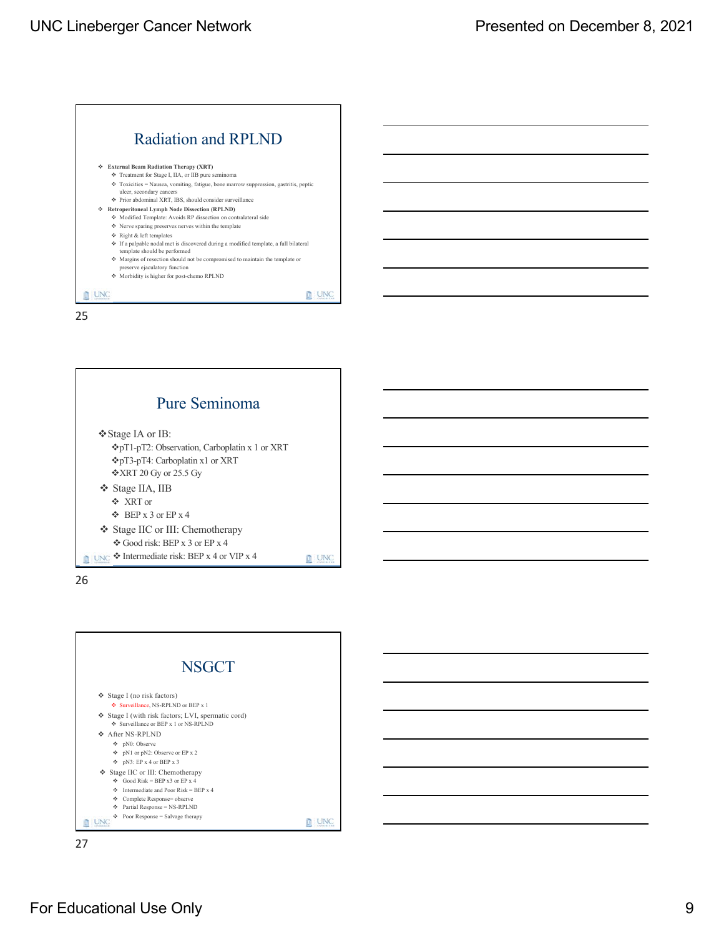





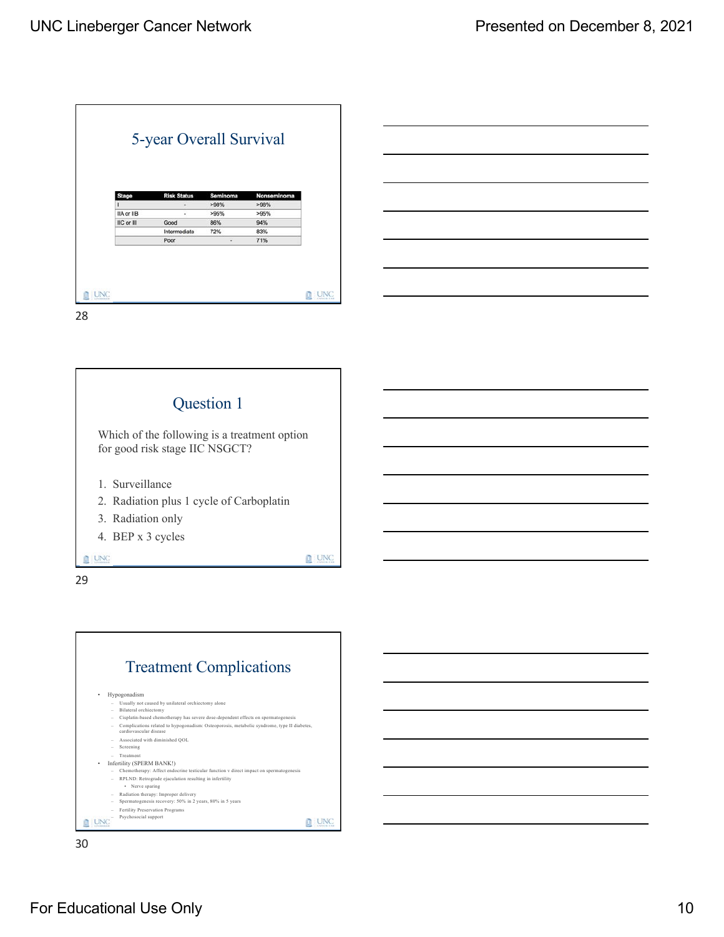| <b>Stage</b> | <b>Risk Status</b> | Seminoma | Nonseminoma |
|--------------|--------------------|----------|-------------|
|              | ٠                  | >98%     | >98%        |
| IIA or IIB   | ٠                  | >95%     | >95%        |
| IIC or III   | Good               | 86%      | 94%         |
|              | Intermediate       | 72%      | 83%         |
|              | Poor               | ٠        | 71%         |





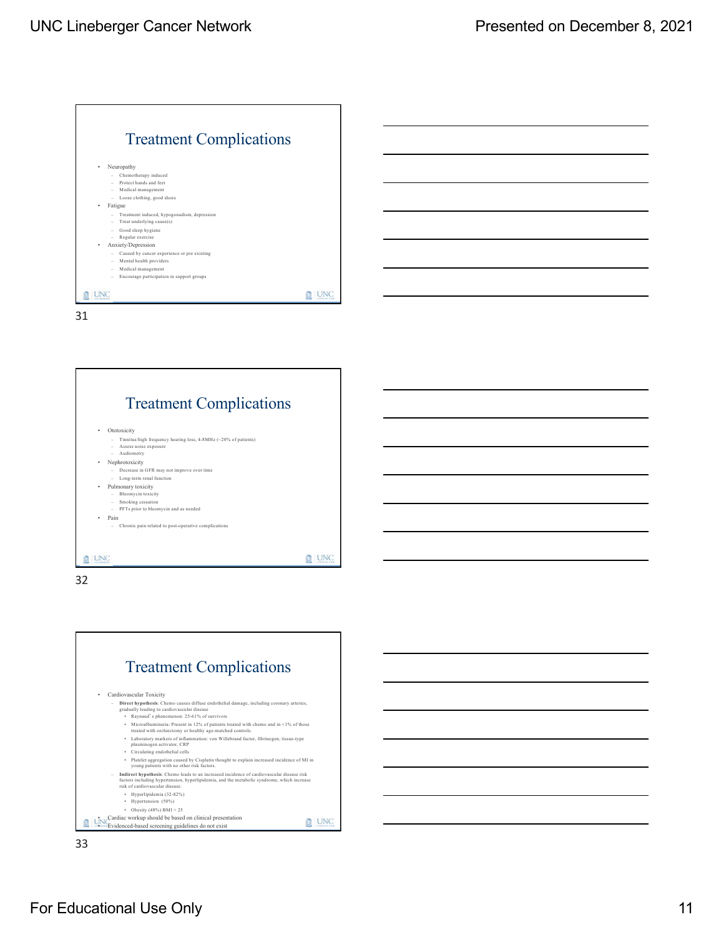



32



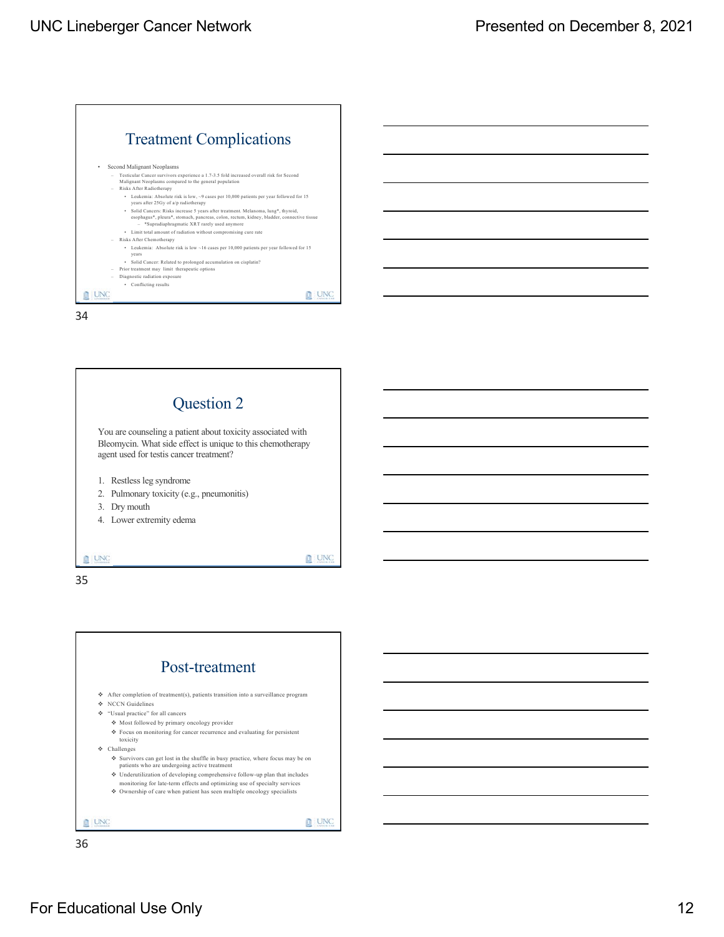



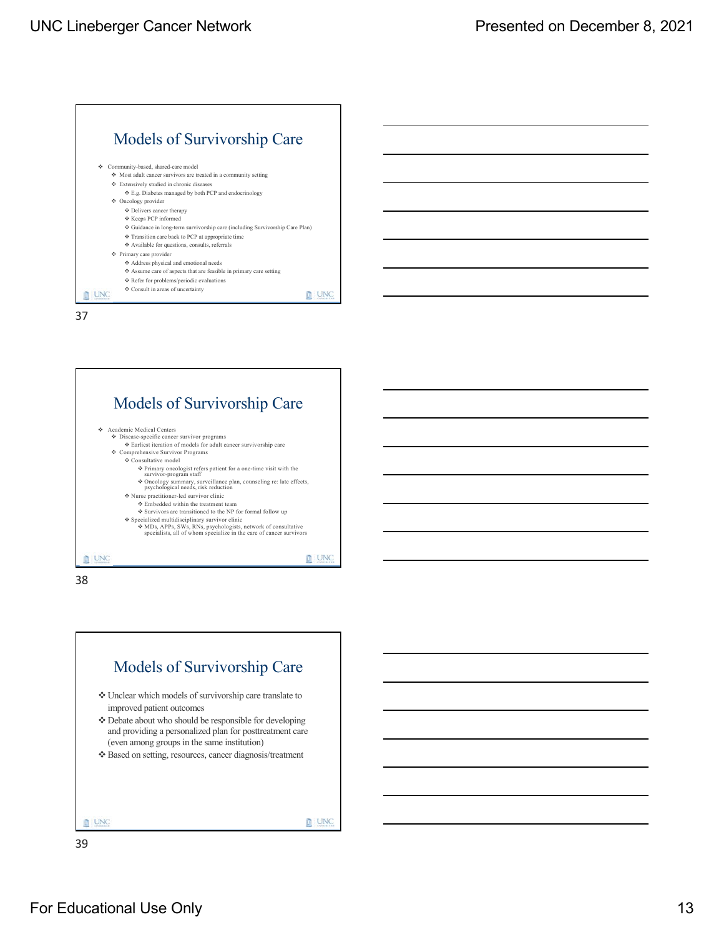



38

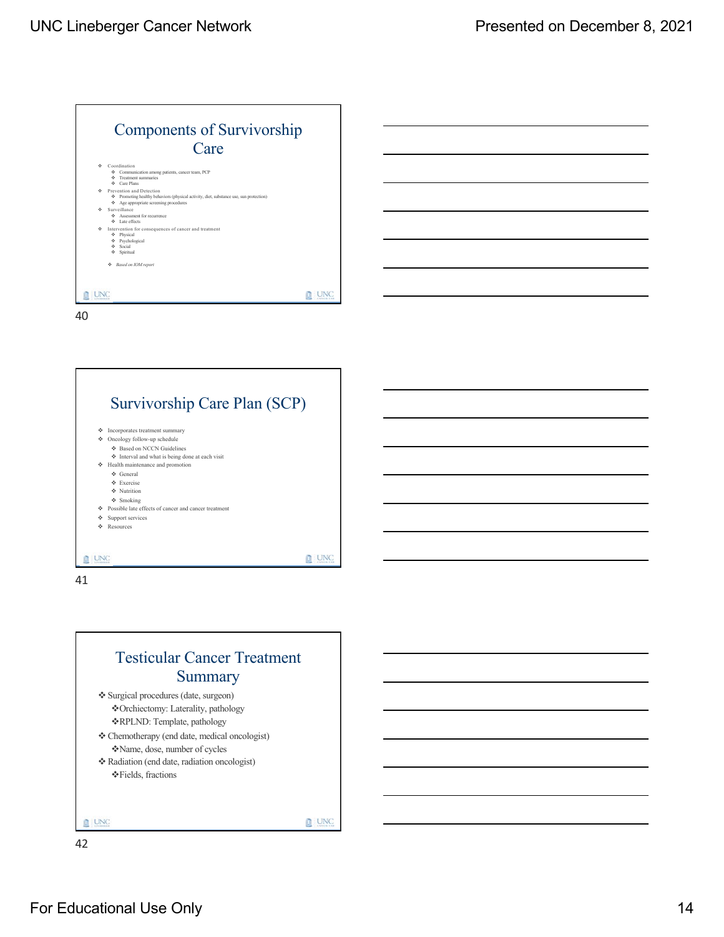



41

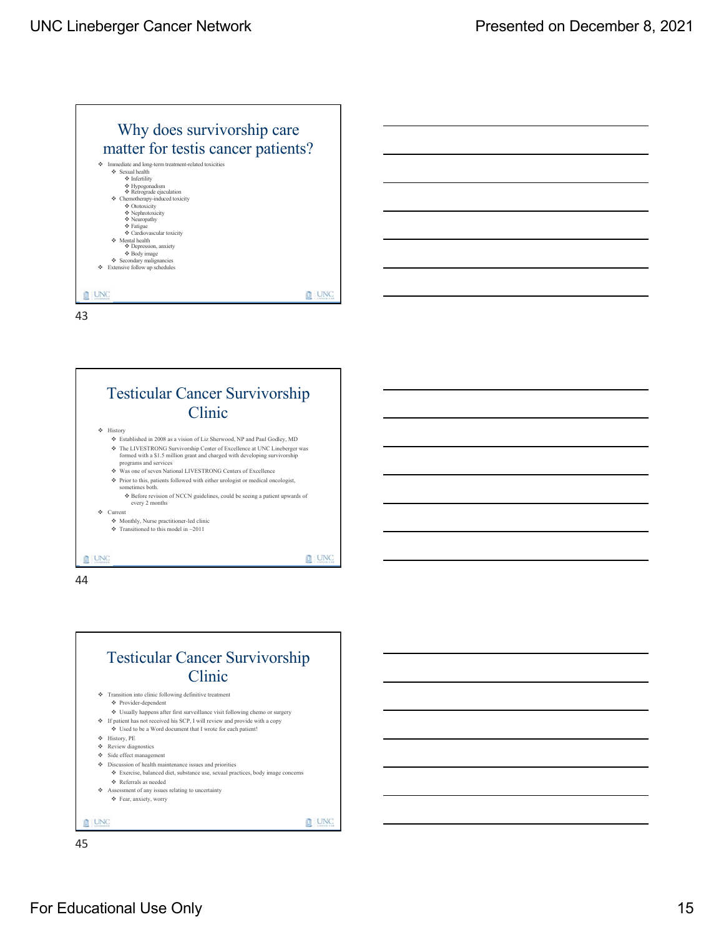



44



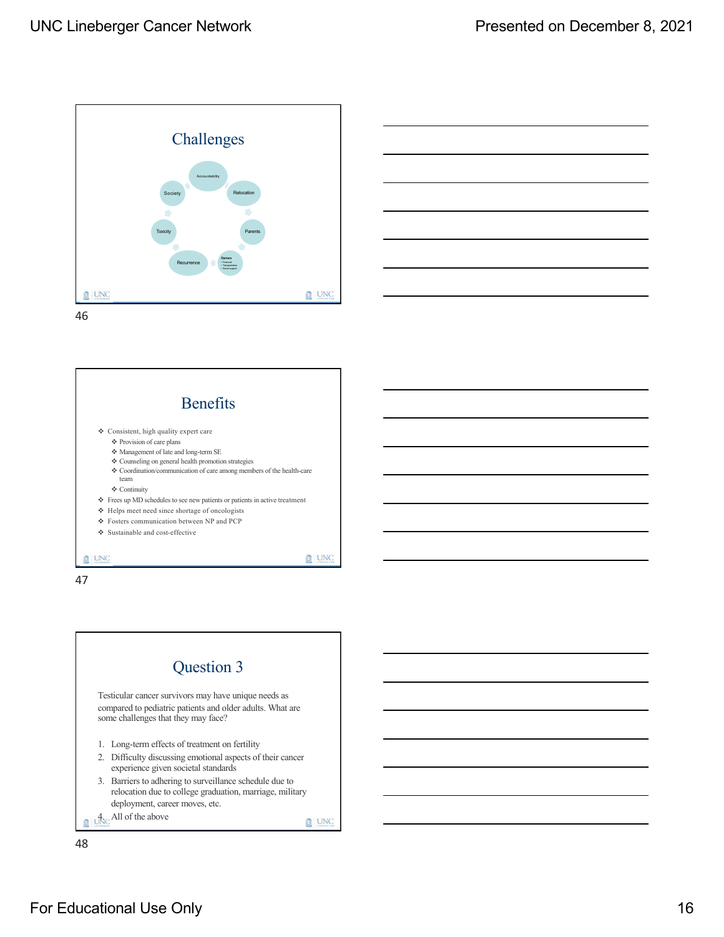



46



47

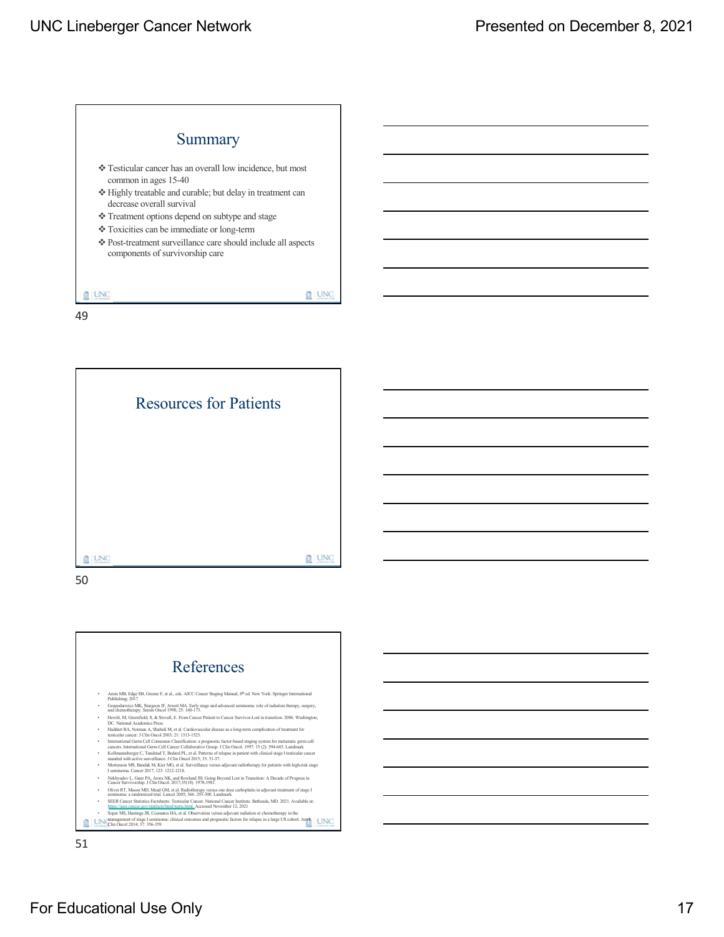## UNC Lineberger Cancer Network **Presented on December 8, 2021**